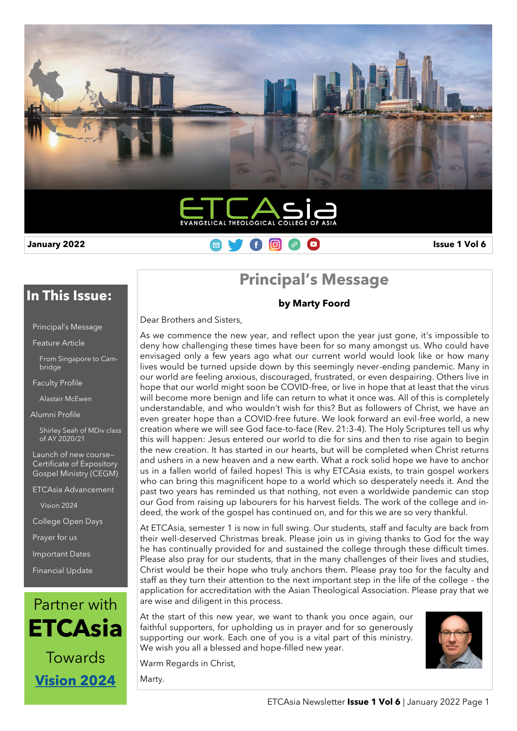

### **January 2022 Issue 1 Vol 6 Issue 1 Vol 6 Issue 1 Vol 6 Issue 1 Vol 6 Issue 1 Vol 6**

### **In This Issue:**

|  | <b>Principal's Message</b> |  |
|--|----------------------------|--|

Feature Article

From Singapore to Cambridge

Faculty Profile

Alastair McEwen

Alumni Profile

Shirley Seah of MDiv class of AY 2020/21

Launch of new course— Certificate of Expository Gospel Ministry (CEGM)

ETCAsia Advancement

Vision 2024

College Open Days

Prayer for us

Important Dates

Financial Update



# **Principal's Message**

**by Marty Foord**

Dear Brothers and Sisters,

As we commence the new year, and reflect upon the year just gone, it's impossible to deny how challenging these times have been for so many amongst us. Who could have envisaged only a few years ago what our current world would look like or how many lives would be turned upside down by this seemingly never-ending pandemic. Many in our world are feeling anxious, discouraged, frustrated, or even despairing. Others live in hope that our world might soon be COVID-free, or live in hope that at least that the virus will become more benign and life can return to what it once was. All of this is completely understandable, and who wouldn't wish for this? But as followers of Christ, we have an even greater hope than a COVID-free future. We look forward an evil-free world, a new creation where we will see God face-to-face (Rev. 21:3-4). The Holy Scriptures tell us why this will happen: Jesus entered our world to die for sins and then to rise again to begin the new creation. It has started in our hearts, but will be completed when Christ returns and ushers in a new heaven and a new earth. What a rock solid hope we have to anchor us in a fallen world of failed hopes! This is why ETCAsia exists, to train gospel workers who can bring this magnificent hope to a world which so desperately needs it. And the past two years has reminded us that nothing, not even a worldwide pandemic can stop our God from raising up labourers for his harvest fields. The work of the college and indeed, the work of the gospel has continued on, and for this we are so very thankful.

At ETCAsia, semester 1 is now in full swing. Our students, staff and faculty are back from their well-deserved Christmas break. Please join us in giving thanks to God for the way he has continually provided for and sustained the college through these difficult times. Please also pray for our students, that in the many challenges of their lives and studies, Christ would be their hope who truly anchors them. Please pray too for the faculty and staff as they turn their attention to the next important step in the life of the college - the application for accreditation with the Asian Theological Association. Please pray that we are wise and diligent in this process.

At the start of this new year, we want to thank you once again, our faithful supporters, for upholding us in prayer and for so generously supporting our work. Each one of you is a vital part of this ministry. We wish you all a blessed and hope-filled new year.

Warm Regards in Christ,

Marty.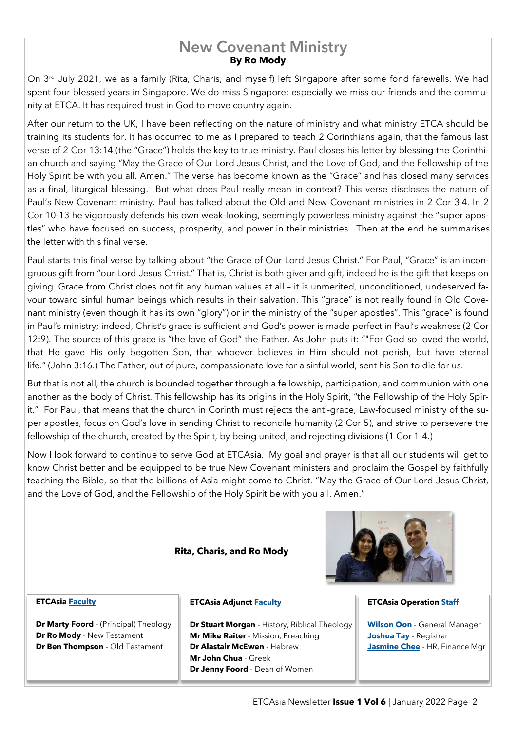### **By Ro Mody New Covenant Ministry**

On 3<sup>rd</sup> July 2021, we as a family (Rita, Charis, and myself) left Singapore after some fond farewells. We had spent four blessed years in Singapore. We do miss Singapore; especially we miss our friends and the community at ETCA. It has required trust in God to move country again.

After our return to the UK, I have been reflecting on the nature of ministry and what ministry ETCA should be training its students for. It has occurred to me as I prepared to teach 2 Corinthians again, that the famous last verse of 2 Cor 13:14 (the "Grace") holds the key to true ministry. Paul closes his letter by blessing the Corinthian church and saying "May the Grace of Our Lord Jesus Christ, and the Love of God, and the Fellowship of the Holy Spirit be with you all. Amen." The verse has become known as the "Grace" and has closed many services as a final, liturgical blessing. But what does Paul really mean in context? This verse discloses the nature of Paul's New Covenant ministry. Paul has talked about the Old and New Covenant ministries in 2 Cor 3-4. In 2 Cor 10-13 he vigorously defends his own weak-looking, seemingly powerless ministry against the "super apostles" who have focused on success, prosperity, and power in their ministries. Then at the end he summarises the letter with this final verse.

Paul starts this final verse by talking about "the Grace of Our Lord Jesus Christ." For Paul, "Grace" is an incongruous gift from "our Lord Jesus Christ." That is, Christ is both giver and gift, indeed he is the gift that keeps on giving. Grace from Christ does not fit any human values at all – it is unmerited, unconditioned, undeserved favour toward sinful human beings which results in their salvation. This "grace" is not really found in Old Covenant ministry (even though it has its own "glory") or in the ministry of the "super apostles". This "grace" is found in Paul's ministry; indeed, Christ's grace is sufficient and God's power is made perfect in Paul's weakness (2 Cor 12:9). The source of this grace is "the love of God" the Father. As John puts it: ""For God so loved the world, that He gave His only begotten Son, that whoever believes in Him should not perish, but have eternal life." (John 3:16.) The Father, out of pure, compassionate love for a sinful world, sent his Son to die for us.

But that is not all, the church is bounded together through a fellowship, participation, and communion with one another as the body of Christ. This fellowship has its origins in the Holy Spirit, "the Fellowship of the Holy Spirit." For Paul, that means that the church in Corinth must rejects the anti-grace, Law-focused ministry of the super apostles, focus on God's love in sending Christ to reconcile humanity (2 Cor 5), and strive to persevere the fellowship of the church, created by the Spirit, by being united, and rejecting divisions (1 Cor 1-4.)

Now I look forward to continue to serve God at ETCAsia. My goal and prayer is that all our students will get to know Christ better and be equipped to be true New Covenant ministers and proclaim the Gospel by faithfully teaching the Bible, so that the billions of Asia might come to Christ. "May the Grace of Our Lord Jesus Christ, and the Love of God, and the Fellowship of the Holy Spirit be with you all. Amen."

#### **Rita, Charis, and Ro Mody**



#### **ETCAsia [Faculty](https://www.etcasia.edu.sg/etca-faculty/)**

**Dr Marty Foord** - (Principal) Theology **Dr Ro Mody** - New Testament **Dr Ben Thompson** - Old Testament

#### **ETCAsia Adjunct [Faculty](https://www.etcasia.edu.sg/etca-faculty/)**

**Dr Stuart Morgan** - History, Biblical Theology **Mr Mike Raiter** - Mission, Preaching **Dr Alastair McEwen** - Hebrew **Mr John Chua** - Greek **Dr Jenny Foord** - Dean of Women

#### **ETCAsia Operation [Staff](https://www.etcasia.edu.sg/staffs/)**

**[Wilson Oon](https://www.etcasia.edu.sg/gm-query/)** - General Manager **[Joshua Tay](https://www.etcasia.edu.sg/query-for-registrar/)** - Registrar **[Jasmine Chee](https://www.etcasia.edu.sg/hr-query/)** - HR, Finance Mgr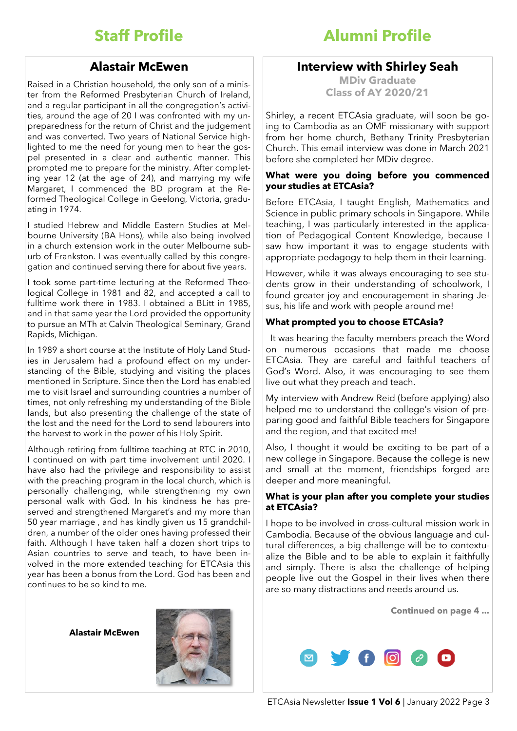## **Staff Profile**

#### **Alastair McEwen**

Raised in a Christian household, the only son of a minister from the Reformed Presbyterian Church of Ireland, and a regular participant in all the congregation's activities, around the age of 20 I was confronted with my unpreparedness for the return of Christ and the judgement and was converted. Two years of National Service highlighted to me the need for young men to hear the gospel presented in a clear and authentic manner. This prompted me to prepare for the ministry. After completing year 12 (at the age of 24), and marrying my wife Margaret, I commenced the BD program at the Reformed Theological College in Geelong, Victoria, graduating in 1974.

I studied Hebrew and Middle Eastern Studies at Melbourne University (BA Hons), while also being involved in a church extension work in the outer Melbourne suburb of Frankston. I was eventually called by this congregation and continued serving there for about five years.

I took some part-time lecturing at the Reformed Theological College in 1981 and 82, and accepted a call to fulltime work there in 1983. I obtained a BLitt in 1985, and in that same year the Lord provided the opportunity to pursue an MTh at Calvin Theological Seminary, Grand Rapids, Michigan.

In 1989 a short course at the Institute of Holy Land Studies in Jerusalem had a profound effect on my understanding of the Bible, studying and visiting the places mentioned in Scripture. Since then the Lord has enabled me to visit Israel and surrounding countries a number of times, not only refreshing my understanding of the Bible lands, but also presenting the challenge of the state of the lost and the need for the Lord to send labourers into the harvest to work in the power of his Holy Spirit.

Although retiring from fulltime teaching at RTC in 2010, I continued on with part time involvement until 2020. I have also had the privilege and responsibility to assist with the preaching program in the local church, which is personally challenging, while strengthening my own personal walk with God. In his kindness he has preserved and strengthened Margaret's and my more than 50 year marriage , and has kindly given us 15 grandchildren, a number of the older ones having professed their faith. Although I have taken half a dozen short trips to Asian countries to serve and teach, to have been involved in the more extended teaching for ETCAsia this year has been a bonus from the Lord. God has been and continues to be so kind to me.

**Alastair McEwen**



# **Alumni Profile**

### **Interview with Shirley Seah**

**MDiv Graduate Class of AY 2020/21**

Shirley, a recent ETCAsia graduate, will soon be going to Cambodia as an OMF missionary with support from her home church, Bethany Trinity Presbyterian Church. This email interview was done in March 2021 before she completed her MDiv degree.

#### **What were you doing before you commenced your studies at ETCAsia?**

Before ETCAsia, I taught English, Mathematics and Science in public primary schools in Singapore. While teaching, I was particularly interested in the application of Pedagogical Content Knowledge, because I saw how important it was to engage students with appropriate pedagogy to help them in their learning.

However, while it was always encouraging to see students grow in their understanding of schoolwork, I found greater joy and encouragement in sharing Jesus, his life and work with people around me!

#### **What prompted you to choose ETCAsia?**

 It was hearing the faculty members preach the Word on numerous occasions that made me choose ETCAsia. They are careful and faithful teachers of God's Word. Also, it was encouraging to see them live out what they preach and teach.

My interview with Andrew Reid (before applying) also helped me to understand the college's vision of preparing good and faithful Bible teachers for Singapore and the region, and that excited me!

Also, I thought it would be exciting to be part of a new college in Singapore. Because the college is new and small at the moment, friendships forged are deeper and more meaningful.

#### **What is your plan after you complete your studies at ETCAsia?**

I hope to be involved in cross-cultural mission work in Cambodia. Because of the obvious language and cultural differences, a big challenge will be to contextualize the Bible and to be able to explain it faithfully and simply. There is also the challenge of helping people live out the Gospel in their lives when there are so many distractions and needs around us.



**Continued on page 4 ...**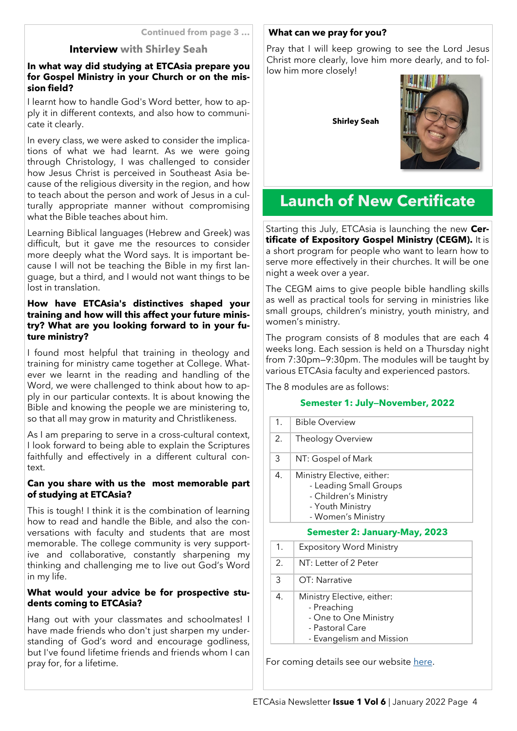#### **Continued from page 3 …**

#### **Interview with Shirley Seah**

#### **In what way did studying at ETCAsia prepare you for Gospel Ministry in your Church or on the mission field?**

I learnt how to handle God's Word better, how to apply it in different contexts, and also how to communicate it clearly.

In every class, we were asked to consider the implications of what we had learnt. As we were going through Christology, I was challenged to consider how Jesus Christ is perceived in Southeast Asia because of the religious diversity in the region, and how to teach about the person and work of Jesus in a culturally appropriate manner without compromising what the Bible teaches about him.

Learning Biblical languages (Hebrew and Greek) was difficult, but it gave me the resources to consider more deeply what the Word says. It is important because I will not be teaching the Bible in my first language, but a third, and I would not want things to be lost in translation.

#### **How have ETCAsia's distinctives shaped your training and how will this affect your future ministry? What are you looking forward to in your future ministry?**

I found most helpful that training in theology and training for ministry came together at College. Whatever we learnt in the reading and handling of the Word, we were challenged to think about how to apply in our particular contexts. It is about knowing the Bible and knowing the people we are ministering to, so that all may grow in maturity and Christlikeness.

As I am preparing to serve in a cross-cultural context, I look forward to being able to explain the Scriptures faithfully and effectively in a different cultural context.

#### **Can you share with us the most memorable part of studying at ETCAsia?**

This is tough! I think it is the combination of learning how to read and handle the Bible, and also the conversations with faculty and students that are most memorable. The college community is very supportive and collaborative, constantly sharpening my thinking and challenging me to live out God's Word in my life.

#### **What would your advice be for prospective students coming to ETCAsia?**

Hang out with your classmates and schoolmates! I have made friends who don't just sharpen my understanding of God's word and encourage godliness, but I've found lifetime friends and friends whom I can pray for, for a lifetime.

#### **What can we pray for you?**

Pray that I will keep growing to see the Lord Jesus Christ more clearly, love him more dearly, and to follow him more closely!

**Shirley Seah**



# **Launch of New Certificate**

Starting this July, ETCAsia is launching the new **Certificate of Expository Gospel Ministry (CEGM).** It is a short program for people who want to learn how to serve more effectively in their churches. It will be one night a week over a year.

The CEGM aims to give people bible handling skills as well as practical tools for serving in ministries like small groups, children's ministry, youth ministry, and women's ministry.

The program consists of 8 modules that are each 4 weeks long. Each session is held on a Thursday night from 7:30pm—9:30pm. The modules will be taught by various ETCAsia faculty and experienced pastors.

The 8 modules are as follows:

#### **Semester 1: July—November, 2022**

| 1. | <b>Bible Overview</b>                                                                                                   |  |  |
|----|-------------------------------------------------------------------------------------------------------------------------|--|--|
| 2. | Theology Overview                                                                                                       |  |  |
| 3  | NT: Gospel of Mark                                                                                                      |  |  |
| 4. | Ministry Elective, either:<br>- Leading Small Groups<br>- Children's Ministry<br>- Youth Ministry<br>- Women's Ministry |  |  |
|    | <b>Semester 2: January-May, 2023</b>                                                                                    |  |  |
| 1. | Expository Word Ministry                                                                                                |  |  |
| 2. | NT: Letter of 2 Peter                                                                                                   |  |  |
| 3  | OT: Narrative                                                                                                           |  |  |
| 4. | Ministry Elective, either:<br>- Preaching<br>$\cap$ $\cap$ $\cap$ $\cap$ $\cap$ $\cap$ $\cap$                           |  |  |

- One to One Ministry
- Pastoral Care
- Evangelism and Mission

For coming details see our website [here.](https://www.etcasia.edu.sg)